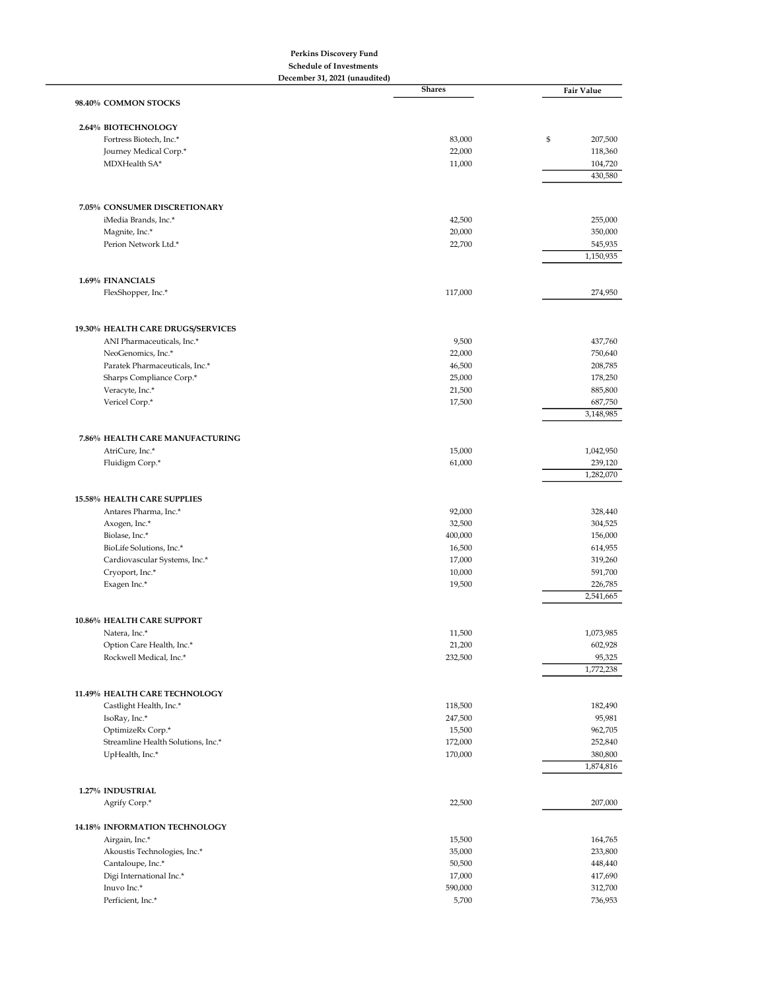## Perkins Discovery Fund

Schedule of Investments

| December 31, 2021 (unaudited)                        |                   |                      |  |
|------------------------------------------------------|-------------------|----------------------|--|
| 98.40% COMMON STOCKS                                 | <b>Shares</b>     | <b>Fair Value</b>    |  |
|                                                      |                   |                      |  |
| 2.64% BIOTECHNOLOGY<br>Fortress Biotech, Inc.*       | 83,000            | \$<br>207,500        |  |
| Journey Medical Corp.*                               | 22,000            | 118,360              |  |
| MDXHealth SA*                                        | 11,000            | 104,720              |  |
|                                                      |                   | 430,580              |  |
|                                                      |                   |                      |  |
| 7.05% CONSUMER DISCRETIONARY<br>iMedia Brands, Inc.* | 42,500            | 255,000              |  |
| Magnite, Inc.*                                       | 20,000            | 350,000              |  |
| Perion Network Ltd.*                                 | 22,700            | 545,935              |  |
|                                                      |                   | 1,150,935            |  |
| 1.69% FINANCIALS                                     |                   |                      |  |
| FlexShopper, Inc.*                                   | 117,000           | 274,950              |  |
|                                                      |                   |                      |  |
| 19.30% HEALTH CARE DRUGS/SERVICES                    |                   |                      |  |
| ANI Pharmaceuticals, Inc.*<br>NeoGenomics, Inc.*     | 9,500<br>22,000   | 437,760<br>750,640   |  |
| Paratek Pharmaceuticals, Inc.*                       | 46,500            | 208,785              |  |
| Sharps Compliance Corp.*                             | 25,000            | 178,250              |  |
| Veracyte, Inc.*                                      | 21,500            | 885,800              |  |
| Vericel Corp.*                                       | 17,500            | 687,750              |  |
|                                                      |                   | 3,148,985            |  |
| 7.86% HEALTH CARE MANUFACTURING                      |                   |                      |  |
| AtriCure, Inc.*                                      | 15,000            | 1,042,950            |  |
| Fluidigm Corp.*                                      | 61,000            | 239,120              |  |
|                                                      |                   | 1,282,070            |  |
| 15.58% HEALTH CARE SUPPLIES                          |                   |                      |  |
| Antares Pharma, Inc.*                                | 92,000            | 328,440              |  |
| Axogen, Inc.*                                        | 32,500            | 304,525              |  |
| Biolase, Inc.*                                       | 400,000           | 156,000              |  |
| BioLife Solutions, Inc.*                             | 16,500            | 614,955              |  |
| Cardiovascular Systems, Inc.*                        | 17,000            | 319,260              |  |
| Cryoport, Inc.*                                      | 10,000            | 591,700              |  |
| Exagen Inc.*                                         | 19,500            | 226,785<br>2,541,665 |  |
| 10.86% HEALTH CARE SUPPORT                           |                   |                      |  |
| Natera, Inc.*                                        | 11,500            | 1,073,985            |  |
| Option Care Health, Inc.*                            | 21,200            | 602,928              |  |
| Rockwell Medical, Inc.*                              | 232,500           | 95,325               |  |
|                                                      |                   | 1,772,238            |  |
| 11.49% HEALTH CARE TECHNOLOGY                        |                   |                      |  |
| Castlight Health, Inc.*<br>IsoRay, Inc.*             | 118,500           | 182,490<br>95,981    |  |
| OptimizeRx Corp.*                                    | 247,500<br>15,500 | 962,705              |  |
| Streamline Health Solutions, Inc.*                   | 172,000           | 252,840              |  |
| UpHealth, Inc.*                                      | 170,000           | 380,800              |  |
|                                                      |                   | 1,874,816            |  |
| 1.27% INDUSTRIAL                                     |                   |                      |  |
| Agrify Corp.*                                        | 22,500            | 207,000              |  |
| 14.18% INFORMATION TECHNOLOGY                        |                   |                      |  |
| Airgain, Inc.*                                       | 15,500            | 164,765              |  |
| Akoustis Technologies, Inc.*                         | 35,000            | 233,800              |  |
| Cantaloupe, Inc.*                                    | 50,500            | 448,440              |  |
| Digi International Inc.*                             | 17,000            | 417,690              |  |
| Inuvo Inc.*                                          | 590,000           | 312,700              |  |
| Perficient, Inc.*                                    | 5,700             | 736,953              |  |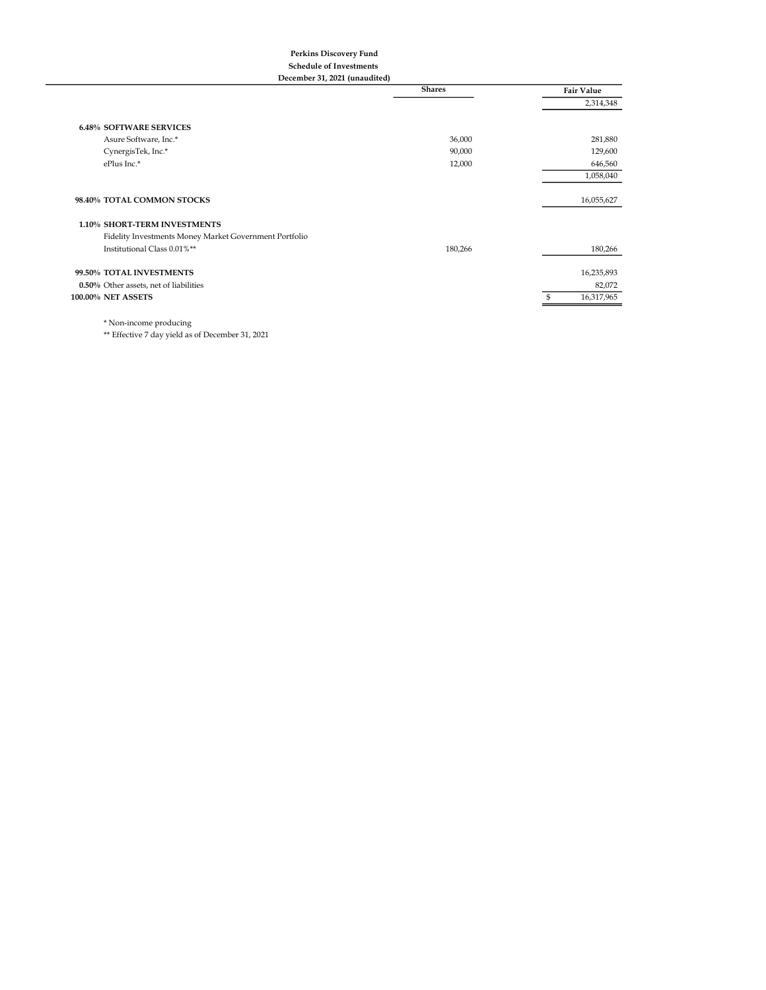## Perkins Discovery Fund Schedule of Investments

December 31, 2021 (unaudited)

|                                                        | <b>Shares</b> | <b>Fair Value</b> |
|--------------------------------------------------------|---------------|-------------------|
|                                                        |               | 2,314,348         |
|                                                        |               |                   |
| <b>6.48% SOFTWARE SERVICES</b>                         |               |                   |
| Asure Software, Inc.*                                  | 36,000        | 281,880           |
| CynergisTek, Inc.*                                     | 90,000        | 129,600           |
| ePlus Inc.*                                            | 12,000        | 646,560           |
|                                                        |               | 1,058,040         |
|                                                        |               |                   |
| 98.40% TOTAL COMMON STOCKS                             |               | 16,055,627        |
|                                                        |               |                   |
| 1.10% SHORT-TERM INVESTMENTS                           |               |                   |
| Fidelity Investments Money Market Government Portfolio |               |                   |
| Institutional Class 0.01%**                            | 180,266       | 180,266           |
| 99.50% TOTAL INVESTMENTS                               |               | 16,235,893        |
|                                                        |               |                   |
| 0.50% Other assets, net of liabilities                 |               | 82,072            |
| 100.00% NET ASSETS                                     |               | 16,317,965        |
|                                                        |               |                   |

 $^\star$  Non-income producing

\*\* Effective 7 day yield as of December 31, 2021